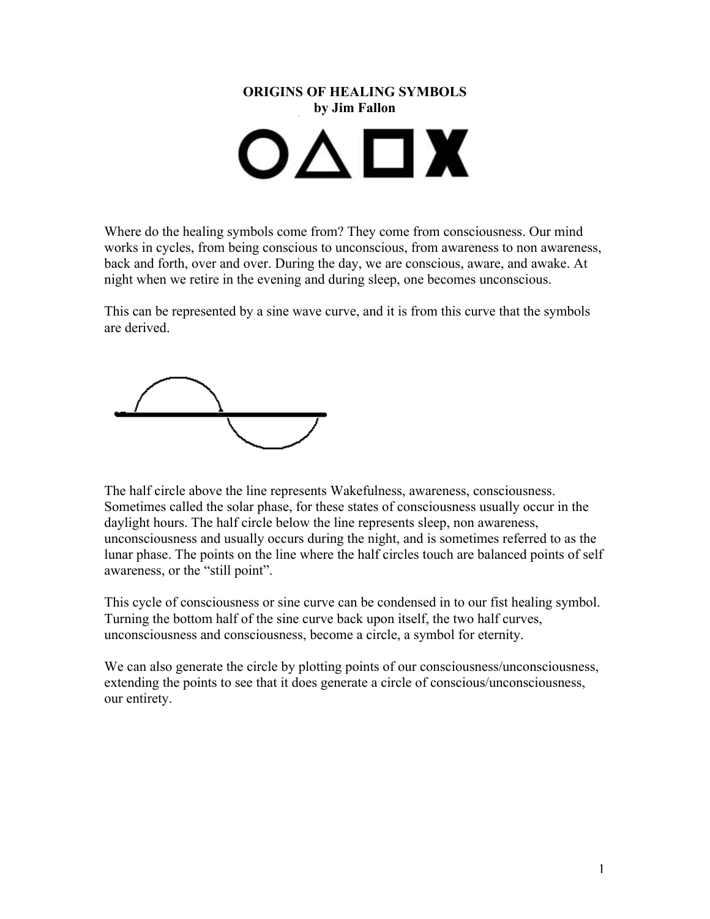

Where do the healing symbols come from? They come from consciousness. Our mind works in cycles, from being conscious to unconscious, from awareness to non awareness, back and forth, over and over. During the day, we are conscious, aware, and awake. At night when we retire in the evening and during sleep, one becomes unconscious.

This can be represented by a sine wave curve, and it is from this curve that the symbols are derived.

The half circle above the line represents Wakefulness, awareness, consciousness. Sometimes called the solar phase, for these states of consciousness usually occur in the daylight hours. The half circle below the line represents sleep, non awareness, unconsciousness and usually occurs during the night, and is sometimes referred to as the lunar phase. The points on the line where the half circles touch are balanced points of self awareness, or the "still point".

This cycle of consciousness or sine curve can be condensed in to our fist healing symbol. Turning the bottom half of the sine curve back upon itself, the two half curves, unconsciousness and consciousness, become a circle, a symbol for eternity.

We can also generate the circle by plotting points of our consciousness/unconsciousness, extending the points to see that it does generate a circle of conscious/unconsciousness, our entirety.